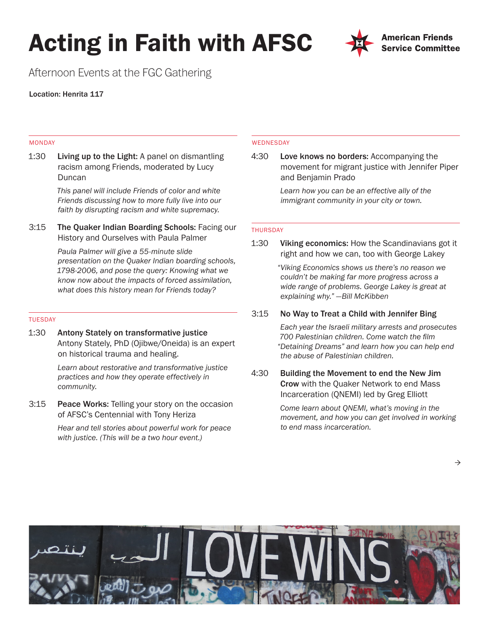# Acting in Faith with AFSC



Afternoon Events at the FGC Gathering

Location: Henrita 117

## MONDAY

1:30 Living up to the Light: A panel on dismantling racism among Friends, moderated by Lucy Duncan

> *This panel will include Friends of color and white Friends discussing how to more fully live into our faith by disrupting racism and white supremacy.*

3:15 The Quaker Indian Boarding Schools: Facing our History and Ourselves with Paula Palmer

> *Paula Palmer will give a 55-minute slide presentation on the Quaker Indian boarding schools, 1798-2006, and pose the query: Knowing what we know now about the impacts of forced assimilation, what does this history mean for Friends today?*

## TUESDAY

1:30 Antony Stately on transformative justice Antony Stately, PhD (Ojibwe/Oneida) is an expert on historical trauma and healing.

> *Learn about restorative and transformative justice practices and how they operate effectively in community.*

3:15 Peace Works: Telling your story on the occasion of AFSC's Centennial with Tony Heriza

> *Hear and tell stories about powerful work for peace with justice. (This will be a two hour event.)*

### WEDNESDAY

4:30 Love knows no borders: Accompanying the movement for migrant justice with Jennifer Piper and Benjamin Prado

> *Learn how you can be an effective ally of the immigrant community in your city or town.*

# THURSDAY

1:30 Viking economics: How the Scandinavians got it right and how we can, too with George Lakey

> *"Viking Economics shows us there's no reason we couldn't be making far more progress across a wide range of problems. George Lakey is great at explaining why." —Bill McKibben*

# 3:15 No Way to Treat a Child with Jennifer Bing

*Each year the Israeli military arrests and prosecutes 700 Palestinian children. Come watch the film "Detaining Dreams" and learn how you can help end the abuse of Palestinian children.* 

4:30 Building the Movement to end the New Jim Crow with the Quaker Network to end Mass Incarceration (QNEMI) led by Greg Elliott

> *Come learn about QNEMI, what's moving in the movement, and how you can get involved in working to end mass incarceration.*



 $\rightarrow$